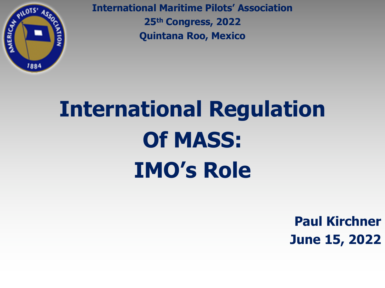

**International Maritime Pilots' Association 25th Congress, 2022 Quintana Roo, Mexico**

# **International Regulation Of MASS: IMO's Role**

**Paul Kirchner June 15, 2022**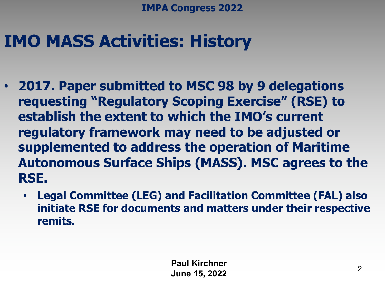## **IMO MASS Activities: History**

- **2017. Paper submitted to MSC 98 by 9 delegations requesting "Regulatory Scoping Exercise" (RSE) to establish the extent to which the IMO's current regulatory framework may need to be adjusted or supplemented to address the operation of Maritime Autonomous Surface Ships (MASS). MSC agrees to the RSE.**
	- **Legal Committee (LEG) and Facilitation Committee (FAL) also initiate RSE for documents and matters under their respective remits.**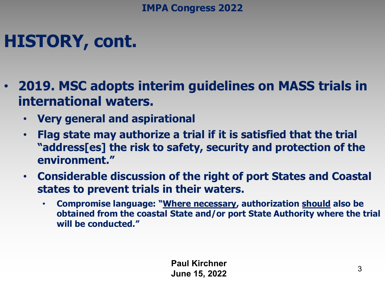# **HISTORY, cont.**

- **2019. MSC adopts interim guidelines on MASS trials in international waters.**
	- **Very general and aspirational**
	- **Flag state may authorize a trial if it is satisfied that the trial "address[es] the risk to safety, security and protection of the environment."**
	- **Considerable discussion of the right of port States and Coastal states to prevent trials in their waters.** 
		- **Compromise language: "Where necessary, authorization should also be obtained from the coastal State and/or port State Authority where the trial will be conducted."**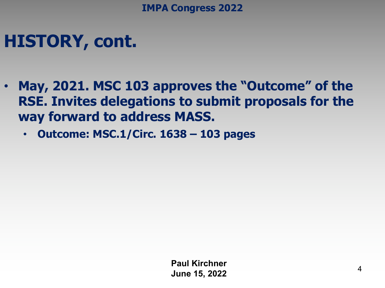### **HISTORY, cont.**

- **May, 2021. MSC 103 approves the "Outcome" of the RSE. Invites delegations to submit proposals for the way forward to address MASS.**
	- **Outcome: MSC.1/Circ. 1638 – 103 pages**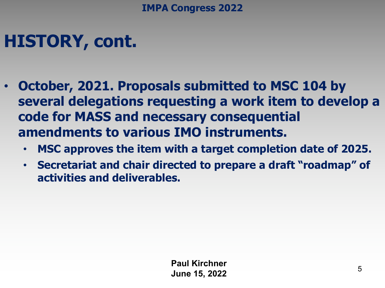## **HISTORY, cont.**

- **October, 2021. Proposals submitted to MSC 104 by several delegations requesting a work item to develop a code for MASS and necessary consequential amendments to various IMO instruments.**
	- **MSC approves the item with a target completion date of 2025.**
	- **Secretariat and chair directed to prepare a draft "roadmap" of activities and deliverables.**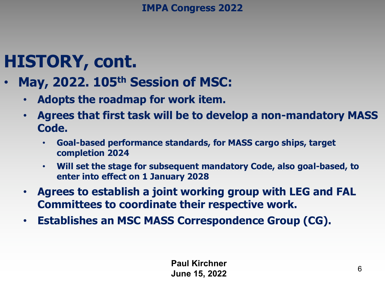### **HISTORY, cont.**

- **May, 2022. 105th Session of MSC:**
	- **Adopts the roadmap for work item.**
	- **Agrees that first task will be to develop a non-mandatory MASS Code.**
		- **Goal-based performance standards, for MASS cargo ships, target completion 2024**
		- **Will set the stage for subsequent mandatory Code, also goal-based, to enter into effect on 1 January 2028**
	- **Agrees to establish a joint working group with LEG and FAL Committees to coordinate their respective work.**
	- **Establishes an MSC MASS Correspondence Group (CG).**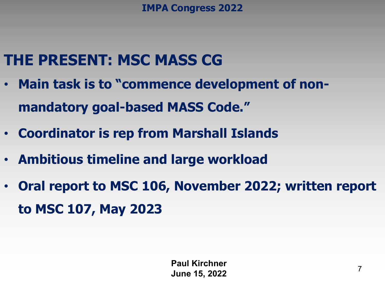### **THE PRESENT: MSC MASS CG**

- **Main task is to "commence development of nonmandatory goal-based MASS Code."**
- **Coordinator is rep from Marshall Islands**
- **Ambitious timeline and large workload**
- **Oral report to MSC 106, November 2022; written report to MSC 107, May 2023**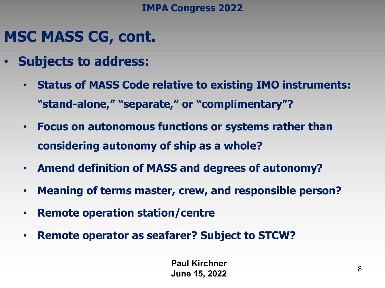### **MSC MASS CG, cont.**

- **Subjects to address:**
	- **Status of MASS Code relative to existing IMO instruments: "stand-alone," "separate," or "complimentary"?**
	- **Focus on autonomous functions or systems rather than considering autonomy of ship as a whole?**
	- **Amend definition of MASS and degrees of autonomy?**
	- **Meaning of terms master, crew, and responsible person?**
	- **Remote operation station/centre**
	- **Remote operator as seafarer? Subject to STCW?**